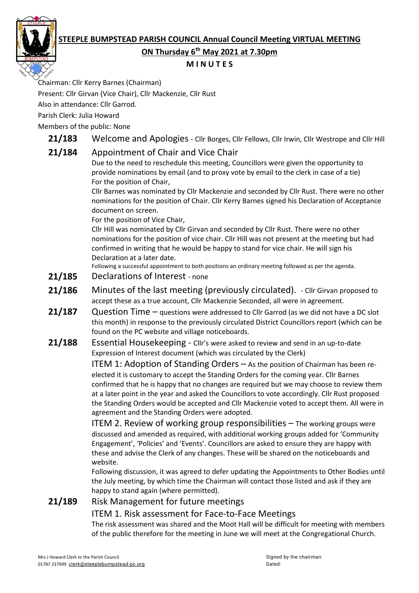# **STEEPLE BUMPSTEAD PARISH COUNCIL Annual Council Meeting VIRTUAL MEETING**



## **ON Thursday 6 th May 2021 at 7.30pm**

#### **M I N U T E S**

Chairman: Cllr Kerry Barnes (Chairman)

Present: Cllr Girvan (Vice Chair), Cllr Mackenzie, Cllr Rust

Also in attendance: Cllr Garrod.

Parish Clerk: Julia Howard

Members of the public: None

21/183 Welcome and Apologies - Cllr Borges, Cllr Fellows, Cllr Irwin, Cllr Westrope and Cllr Hill

# **21/184** Appointment of Chair and Vice Chair

Due to the need to reschedule this meeting, Councillors were given the opportunity to provide nominations by email (and to proxy vote by email to the clerk in case of a tie) For the position of Chair,

Cllr Barnes was nominated by Cllr Mackenzie and seconded by Cllr Rust. There were no other nominations for the position of Chair. Cllr Kerry Barnes signed his Declaration of Acceptance document on screen.

For the position of Vice Chair,

Cllr Hill was nominated by Cllr Girvan and seconded by Cllr Rust. There were no other nominations for the position of vice chair. Cllr Hill was not present at the meeting but had confirmed in writing that he would be happy to stand for vice chair. He will sign his Declaration at a later date.

Following a successful appointment to both positions an ordinary meeting followed as per the agenda.

- **21/185** Declarations of Interest none
- **21/186** Minutes of the last meeting (previously circulated). Cllr Girvan proposed to accept these as a true account, Cllr Mackenzie Seconded, all were in agreement.
- 21/187 Question Time questions were addressed to Cllr Garrod (as we did not have a DC slot this month) in response to the previously circulated District Councillors report (which can be found on the PC website and village noticeboards.
- **21/188** Essential Housekeeping Cllr's were asked to review and send in an up-to-date Expression of Interest document (which was circulated by the Clerk)

ITEM 1: Adoption of Standing Orders – As the position of Chairman has been reelected it is customary to accept the Standing Orders for the coming year. Cllr Barnes confirmed that he is happy that no changes are required but we may choose to review them at a later point in the year and asked the Councillors to vote accordingly. Cllr Rust proposed the Standing Orders would be accepted and Cllr Mackenzie voted to accept them. All were in agreement and the Standing Orders were adopted.

ITEM 2. Review of working group responsibilities – The working groups were discussed and amended as required, with additional working groups added for 'Community Engagement', 'Policies' and 'Events'. Councillors are asked to ensure they are happy with these and advise the Clerk of any changes. These will be shared on the noticeboards and website.

Following discussion, it was agreed to defer updating the Appointments to Other Bodies until the July meeting, by which time the Chairman will contact those listed and ask if they are happy to stand again (where permitted).

# **21/189** Risk Management for future meetings

## ITEM 1. Risk assessment for Face-to-Face Meetings

The risk assessment was shared and the Moot Hall will be difficult for meeting with members of the public therefore for the meeting in June we will meet at the Congregational Church.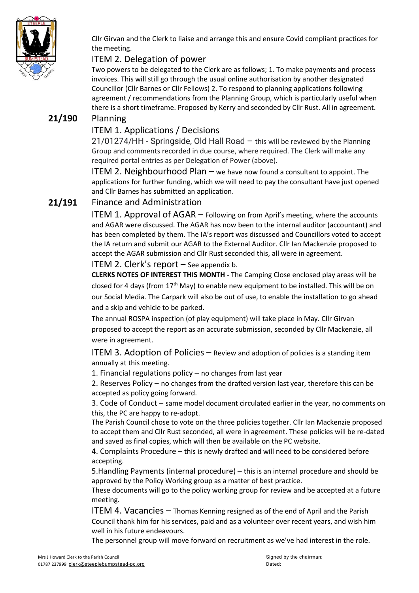

Cllr Girvan and the Clerk to liaise and arrange this and ensure Covid compliant practices for the meeting.

## ITEM 2. Delegation of power

Two powers to be delegated to the Clerk are as follows; 1. To make payments and process invoices. This will still go through the usual online authorisation by another designated Councillor (Cllr Barnes or Cllr Fellows) 2. To respond to planning applications following agreement / recommendations from the Planning Group, which is particularly useful when there is a short timeframe. Proposed by Kerry and seconded by Cllr Rust. All in agreement.

## **21/190** Planning

#### ITEM 1. Applications / Decisions

21/01274/HH - Springside, Old Hall Road – this will be reviewed by the Planning Group and comments recorded in due course, where required. The Clerk will make any required portal entries as per Delegation of Power (above).

ITEM 2. Neighbourhood Plan – we have now found a consultant to appoint. The applications for further funding, which we will need to pay the consultant have just opened and Cllr Barnes has submitted an application.

## **21/191** Finance and Administration

ITEM 1. Approval of AGAR – Following on from April's meeting, where the accounts and AGAR were discussed. The AGAR has now been to the internal auditor (accountant) and has been completed by them. The IA's report was discussed and Councillors voted to accept the IA return and submit our AGAR to the External Auditor. Cllr Ian Mackenzie proposed to accept the AGAR submission and Cllr Rust seconded this, all were in agreement.

ITEM 2. Clerk's report – See appendix b.

**CLERKS NOTES OF INTEREST THIS MONTH -** The Camping Close enclosed play areas will be closed for 4 days (from  $17<sup>th</sup>$  May) to enable new equipment to be installed. This will be on our Social Media. The Carpark will also be out of use, to enable the installation to go ahead and a skip and vehicle to be parked.

The annual ROSPA inspection (of play equipment) will take place in May. Cllr Girvan proposed to accept the report as an accurate submission, seconded by Cllr Mackenzie, all were in agreement.

ITEM 3. Adoption of Policies – Review and adoption of policies is a standing item annually at this meeting.

1. Financial regulations policy – no changes from last year

2. Reserves Policy – no changes from the drafted version last year, therefore this can be accepted as policy going forward.

3. Code of Conduct – same model document circulated earlier in the year, no comments on this, the PC are happy to re-adopt.

The Parish Council chose to vote on the three policies together. Cllr Ian Mackenzie proposed to accept them and Cllr Rust seconded, all were in agreement. These policies will be re-dated and saved as final copies, which will then be available on the PC website.

4. Complaints Procedure – this is newly drafted and will need to be considered before accepting.

5.Handling Payments (internal procedure) – this is an internal procedure and should be approved by the Policy Working group as a matter of best practice.

These documents will go to the policy working group for review and be accepted at a future meeting.

ITEM 4. Vacancies – Thomas Kenning resigned as of the end of April and the Parish Council thank him for his services, paid and as a volunteer over recent years, and wish him well in his future endeavours.

The personnel group will move forward on recruitment as we've had interest in the role.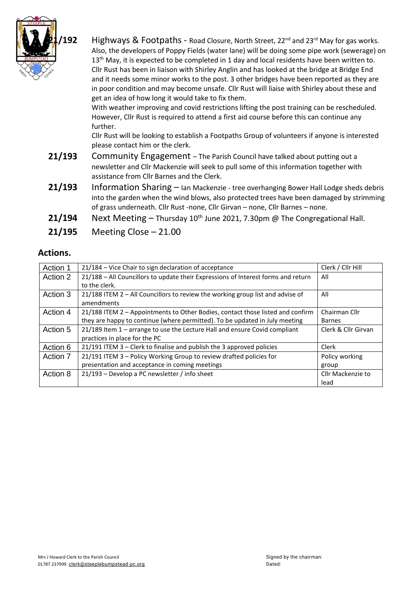

<sup>'</sup>192 Highways & Footpaths - Road Closure, North Street, 22<sup>nd</sup> and 23<sup>rd</sup> May for gas works. Also, the developers of Poppy Fields (water lane) will be doing some pipe work (sewerage) on  $13<sup>th</sup>$  May, it is expected to be completed in 1 day and local residents have been written to. Cllr Rust has been in liaison with Shirley Anglin and has looked at the bridge at Bridge End and it needs some minor works to the post. 3 other bridges have been reported as they are in poor condition and may become unsafe. Cllr Rust will liaise with Shirley about these and get an idea of how long it would take to fix them.

With weather improving and covid restrictions lifting the post training can be rescheduled. However, Cllr Rust is required to attend a first aid course before this can continue any further.

Cllr Rust will be looking to establish a Footpaths Group of volunteers if anyone is interested please contact him or the clerk.

- **21/193** Community Engagement The Parish Council have talked about putting out a newsletter and Cllr Mackenzie will seek to pull some of this information together with assistance from Cllr Barnes and the Clerk.
- **21/193** Information Sharing Ian Mackenzie tree overhanging Bower Hall Lodge sheds debris into the garden when the wind blows, also protected trees have been damaged by strimming of grass underneath. Cllr Rust -none, Cllr Girvan – none, Cllr Barnes – none.
- **21/194** Next Meeting Thursday 10<sup>th</sup> June 2021, 7.30pm @ The Congregational Hall.
- **21/195** Meeting Close 21.00

#### **Actions.**

| Action 1 | 21/184 – Vice Chair to sign declaration of acceptance                             | Clerk / Cllr Hill   |
|----------|-----------------------------------------------------------------------------------|---------------------|
| Action 2 | 21/188 - All Councillors to update their Expressions of Interest forms and return | All                 |
|          | to the clerk.                                                                     |                     |
| Action 3 | $21/188$ ITEM 2 – All Councillors to review the working group list and advise of  | All                 |
|          | amendments                                                                        |                     |
| Action 4 | 21/188 ITEM 2 - Appointments to Other Bodies, contact those listed and confirm    | Chairman Cllr       |
|          | they are happy to continue (where permitted). To be updated in July meeting       | <b>Barnes</b>       |
| Action 5 | 21/189 Item 1 – arrange to use the Lecture Hall and ensure Covid compliant        | Clerk & Cllr Girvan |
|          | practices in place for the PC                                                     |                     |
| Action 6 | 21/191 ITEM 3 - Clerk to finalise and publish the 3 approved policies             | Clerk               |
| Action 7 | 21/191 ITEM 3 – Policy Working Group to review drafted policies for               | Policy working      |
|          | presentation and acceptance in coming meetings                                    | group               |
| Action 8 | 21/193 - Develop a PC newsletter / info sheet                                     | Cllr Mackenzie to   |
|          |                                                                                   | lead                |